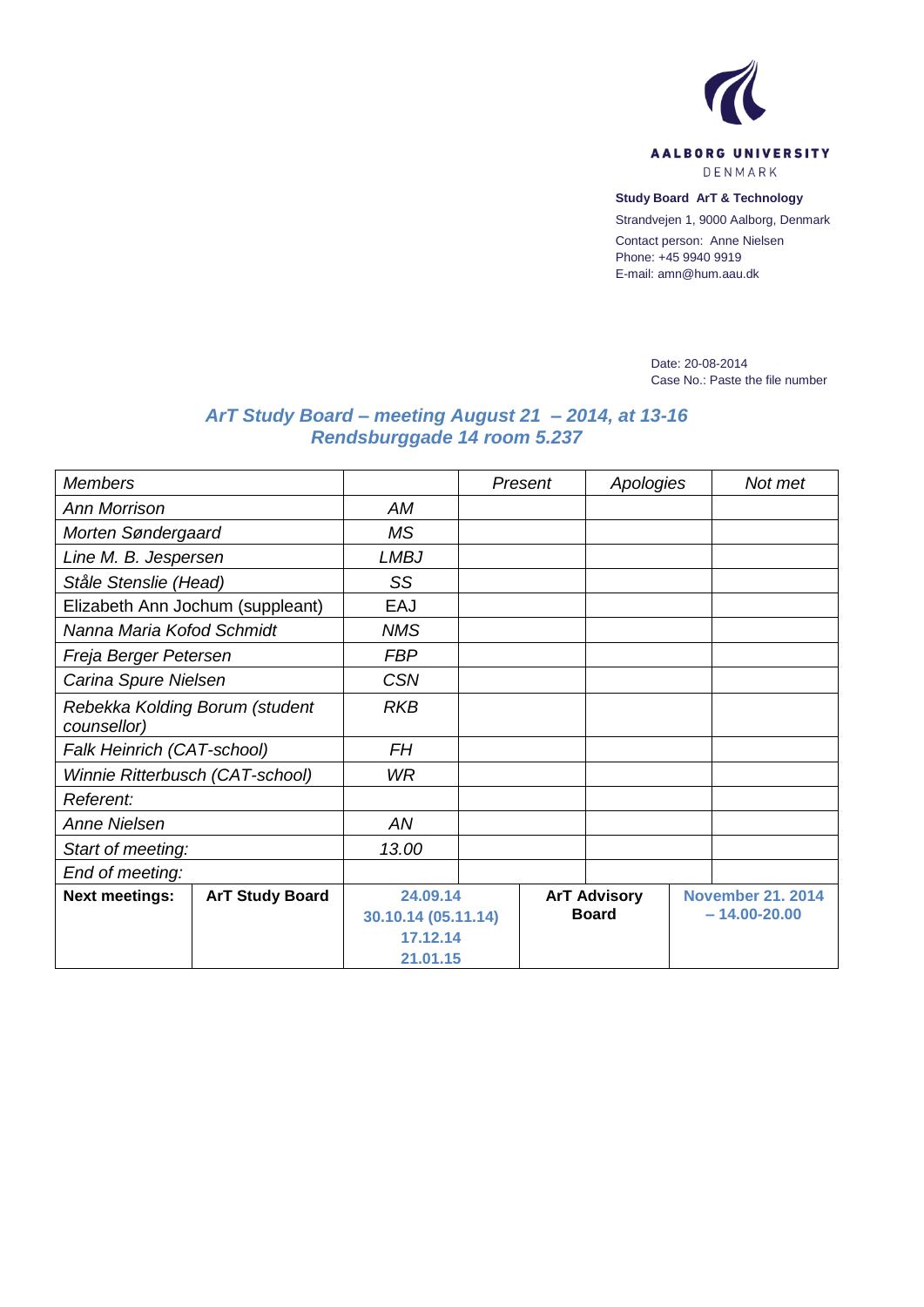

**Study Board ArT & Technology**

Strandvejen 1, 9000 Aalborg, Denmark

Contact person: Anne Nielsen Phone: +45 9940 9919 E-mail: amn@hum.aau.dk

> Date: 20-08-2014 Case No.: Paste the file number

## *ArT Study Board – meeting August 21 – 2014, at 13-16 Rendsburggade 14 room 5.237*

| <b>Members</b>                                |                        |                                             |  | Present             | Apologies |                          | Not met |  |
|-----------------------------------------------|------------------------|---------------------------------------------|--|---------------------|-----------|--------------------------|---------|--|
| <b>Ann Morrison</b>                           |                        | АM                                          |  |                     |           |                          |         |  |
| Morten Søndergaard                            |                        | ΜS                                          |  |                     |           |                          |         |  |
| Line M. B. Jespersen                          |                        | <b>LMBJ</b>                                 |  |                     |           |                          |         |  |
| Ståle Stenslie (Head)                         |                        | SS                                          |  |                     |           |                          |         |  |
| Elizabeth Ann Jochum (suppleant)              |                        | EAJ                                         |  |                     |           |                          |         |  |
| Nanna Maria Kofod Schmidt                     |                        | <b>NMS</b>                                  |  |                     |           |                          |         |  |
| Freja Berger Petersen                         |                        | <b>FBP</b>                                  |  |                     |           |                          |         |  |
| Carina Spure Nielsen                          |                        | <b>CSN</b>                                  |  |                     |           |                          |         |  |
| Rebekka Kolding Borum (student<br>counsellor) |                        | <b>RKB</b>                                  |  |                     |           |                          |         |  |
| Falk Heinrich (CAT-school)                    |                        | <b>FH</b>                                   |  |                     |           |                          |         |  |
| Winnie Ritterbusch (CAT-school)               |                        | WR.                                         |  |                     |           |                          |         |  |
| Referent:                                     |                        |                                             |  |                     |           |                          |         |  |
| Anne Nielsen                                  |                        | AN                                          |  |                     |           |                          |         |  |
| Start of meeting:                             |                        | 13.00                                       |  |                     |           |                          |         |  |
| End of meeting:                               |                        |                                             |  |                     |           |                          |         |  |
| <b>Next meetings:</b>                         | <b>ArT Study Board</b> | 24.09.14                                    |  | <b>ArT Advisory</b> |           | <b>November 21. 2014</b> |         |  |
|                                               |                        | 30.10.14 (05.11.14)<br>17.12.14<br>21.01.15 |  | <b>Board</b>        |           | $-14.00 - 20.00$         |         |  |
|                                               |                        |                                             |  |                     |           |                          |         |  |
|                                               |                        |                                             |  |                     |           |                          |         |  |